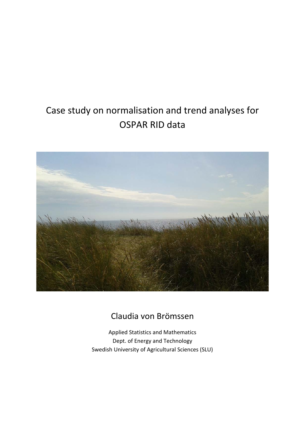# Case study on normalisation and trend analyses for OSPAR RID data



# Claudia von Brömssen

Applied Statistics and Mathematics Dept. of Energy and Technology Swedish University of Agricultural Sciences (SLU)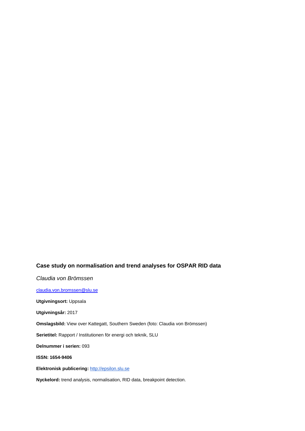## **Case study on normalisation and trend analyses for OSPAR RID data**

*Claudia von Brömssen*

[claudia.von.bromssen@slu.se](mailto:claudia.von.bromssen@slu.se)

**Utgivningsort:** Uppsala

**Utgivningsår:** 2017

**Omslagsbild:** View over Kattegatt, Southern Sweden (foto: Claudia von Brömssen)

**Serietitel:** Rapport / Institutionen för energi och teknik, SLU

**Delnummer i serien:** 093

**ISSN: 1654-9406**

**Elektronisk publicering:** [http://epsilon.slu.se](http://epsilon.slu.se/)

**Nyckelord:** trend analysis, normalisation, RID data, breakpoint detection.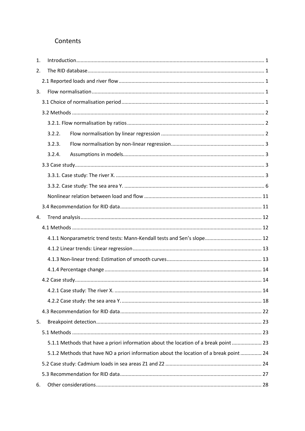# Contents

| 1. |                                                                                         |  |
|----|-----------------------------------------------------------------------------------------|--|
| 2. |                                                                                         |  |
|    |                                                                                         |  |
| 3. |                                                                                         |  |
|    |                                                                                         |  |
|    |                                                                                         |  |
|    |                                                                                         |  |
|    | 3.2.2.                                                                                  |  |
|    | 3.2.3.                                                                                  |  |
|    | 3.2.4.                                                                                  |  |
|    |                                                                                         |  |
|    |                                                                                         |  |
|    |                                                                                         |  |
|    |                                                                                         |  |
|    |                                                                                         |  |
| 4. |                                                                                         |  |
|    |                                                                                         |  |
|    |                                                                                         |  |
|    |                                                                                         |  |
|    |                                                                                         |  |
|    |                                                                                         |  |
|    |                                                                                         |  |
|    |                                                                                         |  |
|    |                                                                                         |  |
|    |                                                                                         |  |
| 5. |                                                                                         |  |
|    |                                                                                         |  |
|    | 5.1.1 Methods that have a priori information about the location of a break point  23    |  |
|    | 5.1.2 Methods that have NO a priori information about the location of a break point  24 |  |
|    |                                                                                         |  |
|    |                                                                                         |  |
| 6. |                                                                                         |  |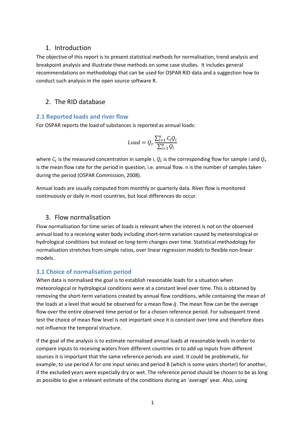## <span id="page-4-0"></span>1. Introduction

The objective of this report is to present statistical methods for normalisation, trend analysis and breakpoint analysis and illustrate these methods on some case studies. It includes general recommendations on methodology that can be used for OSPAR RID data and a suggestion how to conduct such analysis in the open source software R.

## <span id="page-4-1"></span>2. The RID database

## <span id="page-4-2"></span>**2.1 Reported loads and river flow**

For OSPAR reports the load of substances is reported as annual loads:

$$
Load = Q_r \frac{\sum_{i=1}^{n} C_i Q_i}{\sum_{i=1}^{n} Q_i}
$$

where  $C_i$  is the measured concentration in sample i,  $Q_i$  is the corresponding flow for sample i and  $Q_r$ is the mean flow rate for the period in question, i.e. annual flow. n is the number of samples taken during the period (OSPAR Commission, 2008).

Annual loads are usually computed from monthly or quarterly data. River flow is monitored continuously or daily in most countries, but local differences do occur.

## <span id="page-4-3"></span>3. Flow normalisation

Flow normalisation for time series of loads is relevant when the interest is not on the observed annual load to a receiving water body including short-term variation caused by meteorological or hydrological conditions but instead on long-term changes over time. Statistical methodology for normalisation stretches from simple ratios, over linear regression models to flexible non-linear models.

## <span id="page-4-4"></span>**3.1 Choice of normalisation period**

When data is normalised the goal is to establish reasonable loads for a situation when meteorological or hydrological conditions were at a constant level over time. This is obtained by removing the short-term variations created by annual flow conditions, while containing the mean of the loads at a level that would be observed for a mean flow  $\bar{q}$ . The mean flow can be the average flow over the entire observed time period or for a chosen reference period. For subsequent trend test the choice of mean flow level is not important since it is constant over time and therefore does not influence the temporal structure.

If the goal of the analysis is to estimate normalised annual loads at reasonable levels in order to compare inputs to receiving waters from different countries or to add up inputs from different sources it is important that the same reference periods are used. It could be problematic, for example, to use period A for one input series and period B (which is some years shorter) for another, if the excluded years were especially dry or wet. The reference period should be chosen to be as long as possible to give a relevant estimate of the conditions during an 'average' year. Also, using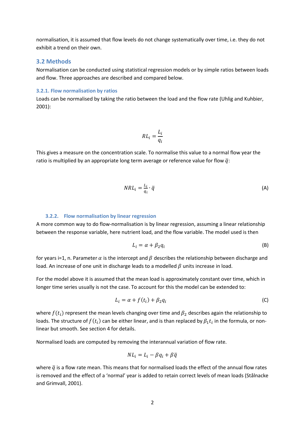normalisation, it is assumed that flow levels do not change systematically over time, i.e. they do not exhibit a trend on their own.

#### <span id="page-5-0"></span>**3.2 Methods**

Normalisation can be conducted using statistical regression models or by simple ratios between loads and flow. Three approaches are described and compared below.

#### <span id="page-5-1"></span>**3.2.1. Flow normalisation by ratios**

Loads can be normalised by taking the ratio between the load and the flow rate (Uhlig and Kuhbier, 2001):

$$
RL_i = \frac{L_i}{q_i}
$$

This gives a measure on the concentration scale. To normalise this value to a normal flow year the ratio is multiplied by an appropriate long term average or reference value for flow  $\bar{q}$ :

$$
NRL_i = \frac{L_i}{q_i} \cdot \overline{q}
$$
 (A)

#### **3.2.2. Flow normalisation by linear regression**

<span id="page-5-2"></span>A more common way to do flow-normalisation is by linear regression, assuming a linear relationship between the response variable, here nutrient load, and the flow variable. The model used is then

$$
L_i = \alpha + \beta_2 q_i \tag{B}
$$

for years i=1, n. Parameter  $\alpha$  is the intercept and  $\beta$  describes the relationship between discharge and load. An increase of one unit in discharge leads to a modelled  $\beta$  units increase in load.

For the model above it is assumed that the mean load is approximately constant over time, which in longer time series usually is not the case. To account for this the model can be extended to:

$$
L_i = \alpha + f(t_i) + \beta_2 q_i \tag{C}
$$

where  $f(t_i)$  represent the mean levels changing over time and  $\beta_2$  describes again the relationship to loads. The structure of  $f(t_i)$  can be either linear, and is than replaced by  $\beta_1 t_i$  in the formula, or nonlinear but smooth. See section 4 for details.

Normalised loads are computed by removing the interannual variation of flow rate.

$$
NL_i = L_i - \beta q_i + \beta \bar{q}
$$

where  $\bar{q}$  is a flow rate mean. This means that for normalised loads the effect of the annual flow rates is removed and the effect of a 'normal' year is added to retain correct levels of mean loads (Stålnacke and Grimvall, 2001).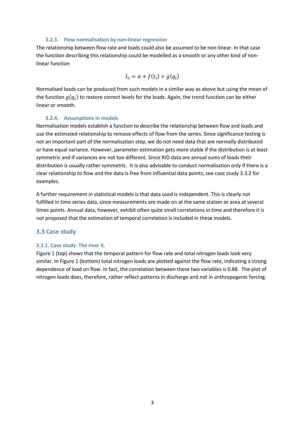#### **3.2.3. Flow normalisation by non-linear regression**

<span id="page-6-0"></span>The relationship between flow rate and loads could also be assumed to be non-linear. In that case the function describing this relationship could be modelled as a smooth or any other kind of nonlinear function

$$
L_i = \alpha + f(t_i) + g(q_i)
$$

Normalised loads can be produced from such models in a similar way as above but using the mean of the function  $g(q_i)$  to restore correct levels for the loads. Again, the trend function can be either linear or smooth.

#### **3.2.4. Assumptions in models**

<span id="page-6-1"></span>Normalisation models establish a function to describe the relationship between flow and loads and use the estimated relationship to remove effects of flow from the series. Since significance testing is not an important part of the normalisation step, we do not need data that are normally distributed or have equal variance. However, parameter estimation gets more stable if the distribution is at least symmetric and if variances are not too different. Since RID data are annual sums of loads their distribution is usually rather symmetric. It is also advisable to conduct normalisation only if there is a clear relationship to flow and the data is free from influential data points, see case study 3.3.2 for examples.

A further requirement in statistical models is that data used is independent. This is clearly not fulfilled in time series data, since measurements are made on at the same station or area at several times points. Annual data, however, exhibit often quite small correlations in time and therefore it is not proposed that the estimation of temporal correlation is included in these models.

## <span id="page-6-2"></span>**3.3 Case study**

#### <span id="page-6-3"></span>**3.3.1. Case study: The river X.**

Figure 1 (top) shows that the temporal pattern for flow rate and total nitrogen loads look very similar. In Figure 1 (bottom) total nitrogen loads are plotted against the flow rate, indicating a strong dependence of load on flow. In fact, the correlation between these two variables is 0.88. The plot of nitrogen loads does, therefore, rather reflect patterns in discharge and not in anthropogenic forcing.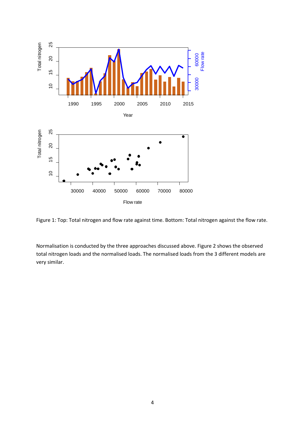

Flow rate



Normalisation is conducted by the three approaches discussed above. Figure 2 shows the observed total nitrogen loads and the normalised loads. The normalised loads from the 3 different models are very similar.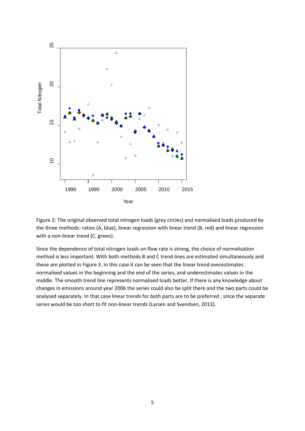

Figure 2: The original observed total nitrogen loads (grey circles) and normalised loads produced by the three methods: ratios (A, blue), linear regression with linear trend (B, red) and linear regression with a non-linear trend (C, green).

Since the dependence of total nitrogen loads on flow rate is strong, the choice of normalisation method is less important. With both methods B and C trend lines are estimated simultaneously and these are plotted in Figure 3. In this case it can be seen that the linear trend overestimates normalised values in the beginning and the end of the series, and underestimates values in the middle. The smooth trend line represents normalised loads better. If there is any knowledge about changes in emissions around year 2006 the series could also be split there and the two parts could be analysed separately. In that case linear trends for both parts are to be preferred , since the separate series would be too short to fit non-linear trends (Larsen and Svendsen, 2013).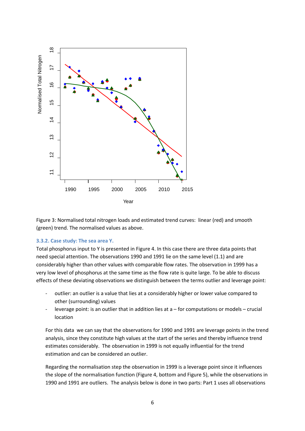

Figure 3: Normalised total nitrogen loads and estimated trend curves: linear (red) and smooth (green) trend. The normalised values as above.

#### <span id="page-9-0"></span>**3.3.2. Case study: The sea area Y.**

Total phosphorus input to Y is presented in Figure 4. In this case there are three data points that need special attention. The observations 1990 and 1991 lie on the same level (1.1) and are considerably higher than other values with comparable flow rates. The observation in 1999 has a very low level of phosphorus at the same time as the flow rate is quite large. To be able to discuss effects of these deviating observations we distinguish between the terms outlier and leverage point:

- outlier: an outlier is a value that lies at a considerably higher or lower value compared to other (surrounding) values
- leverage point: is an outlier that in addition lies at  $a$  for computations or models crucial location

For this data we can say that the observations for 1990 and 1991 are leverage points in the trend analysis, since they constitute high values at the start of the series and thereby influence trend estimates considerably. The observation in 1999 is not equally influential for the trend estimation and can be considered an outlier.

Regarding the normalisation step the observation in 1999 is a leverage point since it influences the slope of the normalisation function (Figure 4, bottom and Figure 5), while the observations in 1990 and 1991 are outliers. The analysis below is done in two parts: Part 1 uses all observations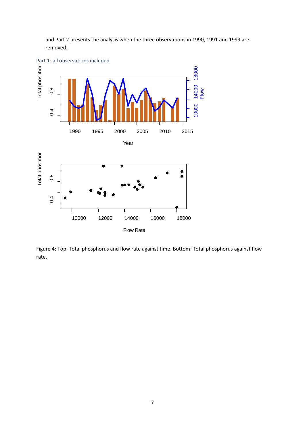and Part 2 presents the analysis when the three observations in 1990, 1991 and 1999 are removed.



Figure 4: Top: Total phosphorus and flow rate against time. Bottom: Total phosphorus against flow rate.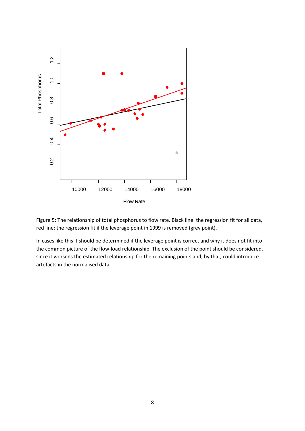

Figure 5: The relationship of total phosphorus to flow rate. Black line: the regression fit for all data, red line: the regression fit if the leverage point in 1999 is removed (grey point).

In cases like this it should be determined if the leverage point is correct and why it does not fit into the common picture of the flow-load relationship. The exclusion of the point should be considered, since it worsens the estimated relationship for the remaining points and, by that, could introduce artefacts in the normalised data.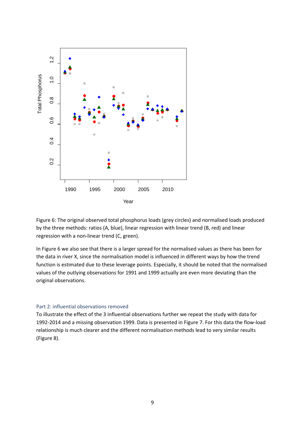

Figure 6: The original observed total phosphorus loads (grey circles) and normalised loads produced by the three methods: ratios (A, blue), linear regression with linear trend (B, red) and linear regression with a non-linear trend (C, green).

In Figure 6 we also see that there is a larger spread for the normalised values as there has been for the data in river X, since the normalisation model is influenced in different ways by how the trend function is estimated due to these leverage points. Especially, it should be noted that the normalised values of the outlying observations for 1991 and 1999 actually are even more deviating than the original observations.

#### Part 2: influential observations removed

To illustrate the effect of the 3 influential observations further we repeat the study with data for 1992-2014 and a missing observation 1999. Data is presented in Figure 7. For this data the flow-load relationship is much clearer and the different normalisation methods lead to very similar results (Figure 8).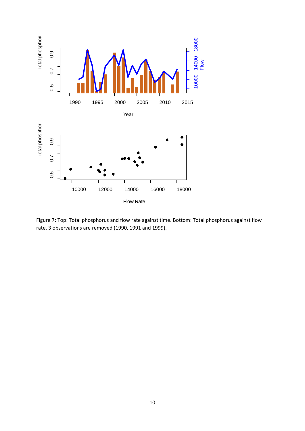

Figure 7: Top: Total phosphorus and flow rate against time. Bottom: Total phosphorus against flow rate. 3 observations are removed (1990, 1991 and 1999).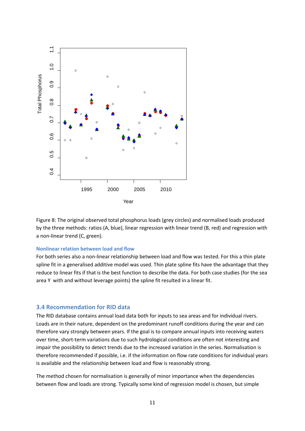

Figure 8: The original observed total phosphorus loads (grey circles) and normalised loads produced by the three methods: ratios (A, blue), linear regression with linear trend (B, red) and regression with a non-linear trend (C, green).

#### <span id="page-14-0"></span>**Nonlinear relation between load and flow**

For both series also a non-linear relationship between load and flow was tested. For this a thin plate spline fit in a generalised additive model was used. Thin plate spline fits have the advantage that they reduce to linear fits if that is the best function to describe the data. For both case studies (for the sea area Y with and without leverage points) the spline fit resulted in a linear fit.

#### <span id="page-14-1"></span>**3.4 Recommendation for RID data**

The RID database contains annual load data both for inputs to sea areas and for individual rivers. Loads are in their nature, dependent on the predominant runoff conditions during the year and can therefore vary strongly between years. If the goal is to compare annual inputs into receiving waters over time, short-term variations due to such hydrological conditions are often not interesting and impair the possibility to detect trends due to the increased variation in the series. Normalisation is therefore recommended if possible, i.e. if the information on flow rate conditions for individual years is available and the relationship between load and flow is reasonably strong.

The method chosen for normalisation is generally of minor importance when the dependencies between flow and loads are strong. Typically some kind of regression model is chosen, but simple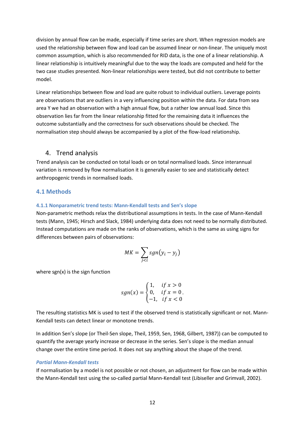division by annual flow can be made, especially if time series are short. When regression models are used the relationship between flow and load can be assumed linear or non-linear. The uniquely most common assumption, which is also recommended for RID data, is the one of a linear relationship. A linear relationship is intuitively meaningful due to the way the loads are computed and held for the two case studies presented. Non-linear relationships were tested, but did not contribute to better model.

Linear relationships between flow and load are quite robust to individual outliers. Leverage points are observations that are outliers in a very influencing position within the data. For data from sea area Y we had an observation with a high annual flow, but a rather low annual load. Since this observation lies far from the linear relationship fitted for the remaining data it influences the outcome substantially and the correctness for such observations should be checked. The normalisation step should always be accompanied by a plot of the flow-load relationship.

## <span id="page-15-0"></span>4. Trend analysis

Trend analysis can be conducted on total loads or on total normalised loads. Since interannual variation is removed by flow normalisation it is generally easier to see and statistically detect anthropogenic trends in normalised loads.

## <span id="page-15-1"></span>**4.1 Methods**

#### <span id="page-15-2"></span>**4.1.1 Nonparametric trend tests: Mann-Kendall tests and Sen's slope**

Non-parametric methods relax the distributional assumptions in tests. In the case of Mann-Kendall tests (Mann, 1945; Hirsch and Slack, 1984) underlying data does not need to be normally distributed. Instead computations are made on the ranks of observations, which is the same as using signs for differences between pairs of observations:

$$
MK = \sum_{j < i} sgn(y_i - y_j)
$$

where sgn(x) is the sign function

$$
sgn(x) = \begin{cases} 1, & \text{if } x > 0 \\ 0, & \text{if } x = 0 \\ -1, & \text{if } x < 0 \end{cases}
$$

The resulting statistics MK is used to test if the observed trend is statistically significant or not. Mann-Kendall tests can detect linear or monotone trends.

In addition Sen's slope (or Theil-Sen slope, Theil, 1959, Sen, 1968, Gilbert, 1987)) can be computed to quantify the average yearly increase or decrease in the series. Sen's slope is the median annual change over the entire time period. It does not say anything about the shape of the trend.

#### *Partial Mann-Kendall tests*

If normalisation by a model is not possible or not chosen, an adjustment for flow can be made within the Mann-Kendall test using the so-called partial Mann-Kendall test (Libiseller and Grimvall, 2002).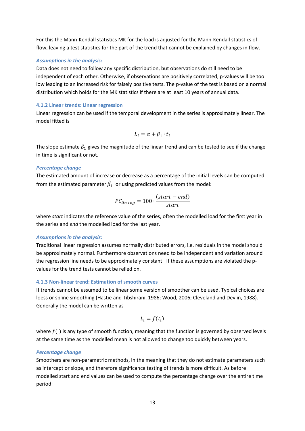For this the Mann-Kendall statistics MK for the load is adjusted for the Mann-Kendall statistics of flow, leaving a test statistics for the part of the trend that cannot be explained by changes in flow.

#### *Assumptions in the analysis:*

Data does not need to follow any specific distribution, but observations do still need to be independent of each other. Otherwise, if observations are positively correlated, p-values will be too low leading to an increased risk for falsely positive tests. The p-value of the test is based on a normal distribution which holds for the MK statistics if there are at least 10 years of annual data.

#### <span id="page-16-0"></span>**4.1.2 Linear trends: Linear regression**

Linear regression can be used if the temporal development in the series is approximately linear. The model fitted is

$$
L_i = \alpha + \beta_1 \cdot t_i
$$

The slope estimate  $\beta_1$  gives the magnitude of the linear trend and can be tested to see if the change in time is significant or not.

#### *Percentage change*

The estimated amount of increase or decrease as a percentage of the initial levels can be computed from the estimated parameter  $\beta_1^-$  or using predicted values from the model:

$$
PC_{lin\ reg} = 100 \cdot \frac{(start - end)}{start}
$$

where *start* indicates the reference value of the series, often the modelled load for the first year in the series and *end* the modelled load for the last year.

#### *Assumptions in the analysis:*

Traditional linear regression assumes normally distributed errors, i.e. residuals in the model should be approximately normal. Furthermore observations need to be independent and variation around the regression line needs to be approximately constant. If these assumptions are violated the pvalues for the trend tests cannot be relied on.

## <span id="page-16-1"></span>**4.1.3 Non-linear trend: Estimation of smooth curves**

If trends cannot be assumed to be linear some version of smoother can be used. Typical choices are loess or spline smoothing (Hastie and Tibshirani, 1986; Wood, 2006; Cleveland and Devlin, 1988). Generally the model can be written as

$$
L_i = f(t_i)
$$

where  $f()$  is any type of smooth function, meaning that the function is governed by observed levels at the same time as the modelled mean is not allowed to change too quickly between years.

#### *Percentage change*

Smoothers are non-parametric methods, in the meaning that they do not estimate parameters such as intercept or slope, and therefore significance testing of trends is more difficult. As before modelled start and end values can be used to compute the percentage change over the entire time period: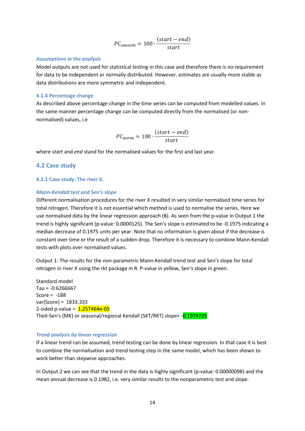$$
PC_{smooth} = 100 \cdot \frac{(start - end)}{start}
$$

#### *Assumptions in the analysis*

Model outputs are not used for statistical testing in this case and therefore there is no requirement for data to be independent or normally distributed. However, estimates are usually more stable as data distributions are more symmetric and independent.

#### <span id="page-17-0"></span>**4.1.4 Percentage change**

As described above percentage change in the time series can be computed from modelled values. In the same manner percentage change can be computed directly from the normalised (or nonnormalised) values, i.e

$$
PC_{norm} = 100 \cdot \frac{(start - end)}{start}
$$

where *start* and *end* stand for the normalised values for the first and last year.

## <span id="page-17-1"></span>**4.2 Case study**

#### <span id="page-17-2"></span>**4.2.1 Case study: The river X.**

#### *Mann-Kendall test and Sen's slope*

Different normalisation procedures for the river X resulted in very similar normalised time series for total nitrogen. Therefore it is not essential which method is used to normalise the series. Here we use normalised data by the linear regression approach (B). As seen from the p-value in Output 1 the trend is highly significant (p-value: 0.0000125). The Sen's slope is estimated to be -0.1975 indicating a median decrease of 0.1975 units per year. Note that no information is given about if the decrease is constant over time or the result of a sudden drop. Therefore it is necessary to combine Mann-Kendall tests with plots over normalised values.

Output 1: The results for the non-parametric Mann-Kendall trend test and Sen's slope for total nitrogen in river X using the rkt package in R. P-value in yellow, Sen's slope in green.

Standard model  $Tau = -0.6266667$ Score =  $-188$ var(Score) = 1833.333 2-sided p-value =  $1.257464e-05$ Theil-Sen's (MK) or seasonal/regional Kendall (SKT/RKT) slope= -0.1974725

#### *Trend analysis by linear regression*

If a linear trend can be assumed, trend testing can be done by linear regression. In that case it is best to combine the normalisation and trend testing step in the same model, which has been shown to work better than stepwise approaches.

In Output 2 we can see that the trend in the data is highly significant (p-value: 0.00000098) and the mean annual decrease is 0.1982, i.e. very similar results to the nonparametric test and slope.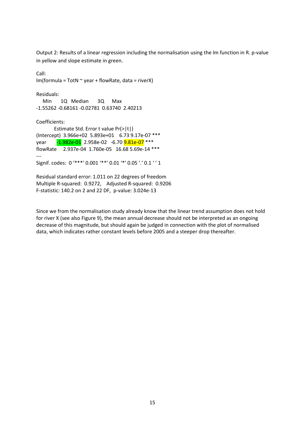Output 2: Results of a linear regression including the normalisation using the lm function in R. p-value in yellow and slope estimate in green.

```
Call:
lm(formula = TotN \sim year + flowRate, data = riverX)Residuals:
   Min 1Q Median 3Q Max 
-1.55262 -0.68161 -0.02781 0.63740 2.40213 
Coefficients:
        Estimate Std. Error t value Pr(>|t|) 
(Intercept) 3.966e+02 5.893e+01 6.73 9.17e-07 ***
year -1.982e-01 2.958e-02 -6.70 9.81e-07 ***
flowRate 2.937e-04 1.760e-05 16.68 5.69e-14 ***
---
Signif. codes: 0 '***' 0.001 '**' 0.01 '*' 0.05 '.' 0.1 ' ' 1
Residual standard error: 1.011 on 22 degrees of freedom
Multiple R-squared: 0.9272, Adjusted R-squared: 0.9206
```
F-statistic: 140.2 on 2 and 22 DF, p-value: 3.024e-13

Since we from the normalisation study already know that the linear trend assumption does not hold for river X (see also Figure 9), the mean annual decrease should not be interpreted as an ongoing decrease of this magnitude, but should again be judged in connection with the plot of normalised data, which indicates rather constant levels before 2005 and a steeper drop thereafter.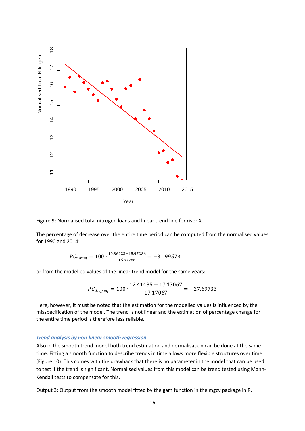

Figure 9: Normalised total nitrogen loads and linear trend line for river X.

The percentage of decrease over the entire time period can be computed from the normalised values for 1990 and 2014:

$$
PC_{norm} = 100 \cdot \frac{10.86223 - 15.97286}{15.97286} = -31.99573
$$

or from the modelled values of the linear trend model for the same years:

$$
PC_{lin\_reg} = 100 \cdot \frac{12.41485 - 17.17067}{17.17067} = -27.69733
$$

Here, however, it must be noted that the estimation for the modelled values is influenced by the misspecification of the model. The trend is not linear and the estimation of percentage change for the entire time period is therefore less reliable.

#### *Trend analysis by non-linear smooth regression*

Also in the smooth trend model both trend estimation and normalisation can be done at the same time. Fitting a smooth function to describe trends in time allows more flexible structures over time (Figure 10). This comes with the drawback that there is no parameter in the model that can be used to test if the trend is significant. Normalised values from this model can be trend tested using Mann-Kendall tests to compensate for this.

Output 3: Output from the smooth model fitted by the gam function in the mgcv package in R.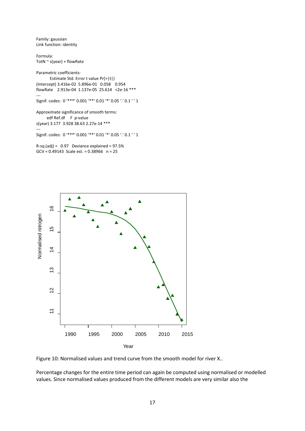Family: gaussian Link function: identity

Formula: TotN  $\sim$  s(year) + flowRate

Parametric coefficients: Estimate Std. Error t value Pr(>|t|) (Intercept) 3.416e-02 5.896e-01 0.058 0.954 flowRate 2.913e-04 1.137e-05 25.614 <2e-16 \*\*\* --- Signif. codes: 0 '\*\*\*' 0.001 '\*\*' 0.01 '\*' 0.05 '.' 0.1 ' ' 1 Approximate significance of smooth terms: edf Ref.df F p-value s(year) 3.177 3.928 38.63 2.27e-14 \*\*\* --- Signif. codes: 0 '\*\*\*' 0.001 '\*\*' 0.01 '\*' 0.05 '.' 0.1 ' ' 1  $R-sq.(adj) = 0.97$  Deviance explained = 97.5% GCV = 0.49143 Scale est. = 0.38966 n = 25





Percentage changes for the entire time period can again be computed using normalised or modelled values. Since normalised values produced from the different models are very similar also the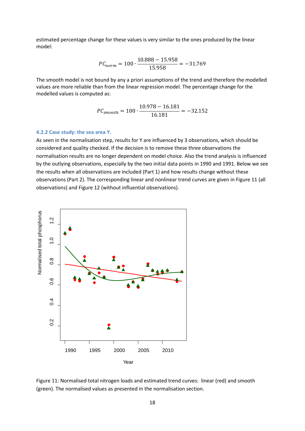estimated percentage change for these values is very similar to the ones produced by the linear model:

$$
PC_{norm} = 100 \cdot \frac{10.888 - 15.958}{15.958} = -31.769
$$

The smooth model is not bound by any a priori assumptions of the trend and therefore the modelled values are more reliable than from the linear regression model. The percentage change for the modelled values is computed as:

$$
PC_{smooth} = 100 \cdot \frac{10.978 - 16.181}{16.181} = -32.152
$$

#### <span id="page-21-0"></span>**4.2.2 Case study: the sea area Y.**

As seen in the normalisation step, results for Y are influenced by 3 observations, which should be considered and quality checked. If the decision is to remove these three observations the normalisation results are no longer dependent on model choice. Also the trend analysis is influenced by the outlying observations, especially by the two initial data points in 1990 and 1991. Below we see the results when all observations are included (Part 1) and how results change without these observations (Part 2). The corresponding linear and nonlinear trend curves are given in Figure 11 (all observations) and Figure 12 (without influential observations).



Figure 11: Normalised total nitrogen loads and estimated trend curves: linear (red) and smooth (green). The normalised values as presented in the normalisation section.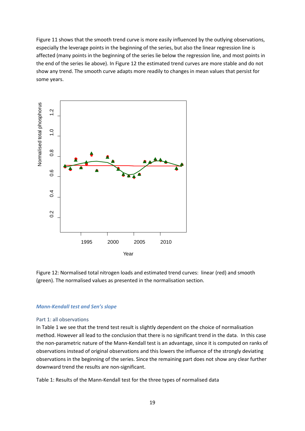Figure 11 shows that the smooth trend curve is more easily influenced by the outlying observations, especially the leverage points in the beginning of the series, but also the linear regression line is affected (many points in the beginning of the series lie below the regression line, and most points in the end of the series lie above). In Figure 12 the estimated trend curves are more stable and do not show any trend. The smooth curve adapts more readily to changes in mean values that persist for some years.



Figure 12: Normalised total nitrogen loads and estimated trend curves: linear (red) and smooth (green). The normalised values as presented in the normalisation section.

#### *Mann-Kendall test and Sen's slope*

#### Part 1: all observations

In Table 1 we see that the trend test result is slightly dependent on the choice of normalisation method. However all lead to the conclusion that there is no significant trend in the data. In this case the non-parametric nature of the Mann-Kendall test is an advantage, since it is computed on ranks of observations instead of original observations and this lowers the influence of the strongly deviating observations in the beginning of the series. Since the remaining part does not show any clear further downward trend the results are non-significant.

Table 1: Results of the Mann-Kendall test for the three types of normalised data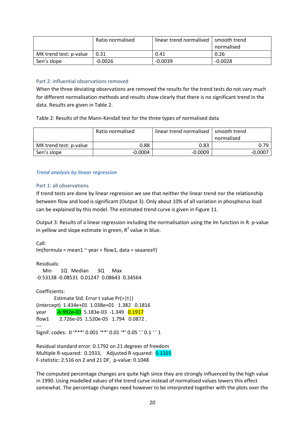|                        | Ratio normalised | linear trend normalised | smooth trend |
|------------------------|------------------|-------------------------|--------------|
|                        |                  |                         | normalised   |
| MK trend test: p-value | 0.31             | 0.41                    | 0.26         |
| Sen's slope            | $-0.0026$        | $-0.0039$               | $-0.0028$    |

#### Part 2: influential observations removed

When the three deviating observations are removed the results for the trend tests do not vary much for different normalisation methods and results show clearly that there is no significant trend in the data. Results are given in Table 2.

Table 2: Results of the Mann-Kendall test for the three types of normalised data

|                        | Ratio normalised | linear trend normalised | smooth trend<br>normalised |
|------------------------|------------------|-------------------------|----------------------------|
| MK trend test: p-value | 0.88             | 0.83                    | 0.79                       |
| Sen's slope            | $-0.0004$        | $-0.0009$               | $-0.000^{-}$               |

#### *Trend analysis by linear regression*

#### Part 1: all observations

If trend tests are done by linear regression we see that neither the linear trend nor the relationship between flow and load is significant (Output 3). Only about 10% of all variation in phosphorus load can be explained by this model. The estimated trend curve is given in Figure 11.

Output 3: Results of a linear regression including the normalisation using the lm function in R. p-value in yellow and slope estimate in green,  $R^2$  value in blue.

Call:  $lm(formula = mean1 ~ v, year + flow1, data = seaw)$ 

Residuals: Min 1Q Median 3Q Max -0.53138 -0.08531 0.01247 0.08643 0.34564

Coefficients: Estimate Std. Error t value Pr(>|t|) (Intercept) 1.434e+01 1.038e+01 1.382 0.1816 year -6.992e-03 5.183e-03 -1.349 0.1917 flow1 2.726e-05 1.520e-05 1.794 0.0872 . --- Signif. codes: 0 '\*\*\*' 0.001 '\*\*' 0.01 '\*' 0.05 '.' 0.1 ' ' 1

Residual standard error: 0.1792 on 21 degrees of freedom Multiple R-squared: 0.1933, Adjusted R-squared: 0.1165 F-statistic: 2.516 on 2 and 21 DF, p-value: 0.1048

The computed percentage changes are quite high since they are strongly influenced by the high value in 1990. Using modelled values of the trend curve instead of normalised values lowers this effect somewhat. The percentage changes need however to be interpreted together with the plots over the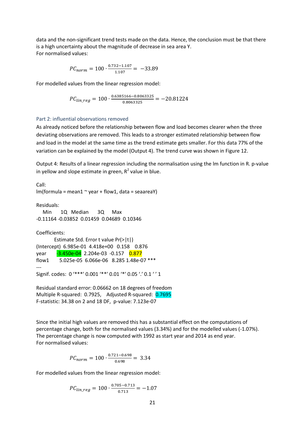data and the non-significant trend tests made on the data. Hence, the conclusion must be that there is a high uncertainty about the magnitude of decrease in sea area Y. For normalised values:

$$
PC_{norm} = 100 \cdot \frac{0.732 - 1.107}{1.107} = -33.89
$$

For modelled values from the linear regression model:

 $PC_{lin\_reg} = 100 \cdot \frac{0.6385166 - 0.8063325}{0.8063325} = -20.81224$ 

#### Part 2: influential observations removed

As already noticed before the relationship between flow and load becomes clearer when the three deviating observations are removed. This leads to a stronger estimated relationship between flow and load in the model at the same time as the trend estimate gets smaller. For this data 77% of the variation can be explained by the model (Output 4). The trend curve was shown in Figure 12.

Output 4: Results of a linear regression including the normalisation using the lm function in R. p-value in yellow and slope estimate in green,  $R^2$  value in blue.

```
Call:
lm(formula = mean1 \sim year + flow1, data = seaarea
```
Residuals: Min 1Q Median 3Q Max -0.11164 -0.03852 0.01459 0.04689 0.10346

```
Coefficients:
        Estimate Std. Error t value Pr(>|t|) 
(Intercept) 6.985e-01 4.418e+00 0.158 0.876 
year -3.450e-04 2.204e-03 -0.157 0.877
flow1 5.025e-05 6.066e-06 8.285 1.48e-07 ***
---
Signif. codes: 0 '***' 0.001 '**' 0.01 '*' 0.05 '.' 0.1 '' 1
```
Residual standard error: 0.06662 on 18 degrees of freedom Multiple R-squared: 0.7925, Adjusted R-squared: 0.7695 F-statistic: 34.38 on 2 and 18 DF, p-value: 7.123e-07

Since the initial high values are removed this has a substantial effect on the computations of percentage change, both for the normalised values (3.34%) and for the modelled values (-1.07%). The percentage change is now computed with 1992 as start year and 2014 as end year. For normalised values:

$$
PC_{norm} = 100 \cdot \frac{0.721 - 0.698}{0.698} = 3.34
$$

For modelled values from the linear regression model:

$$
PC_{lin\_reg} = 100 \cdot \frac{0.705 - 0.713}{0.713} = -1.07
$$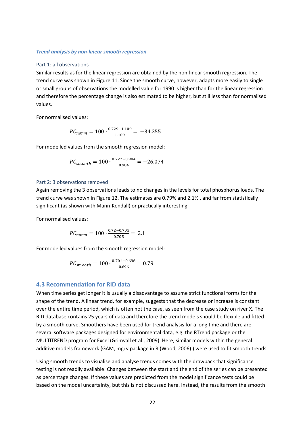#### *Trend analysis by non-linear smooth regression*

#### Part 1: all observations

Similar results as for the linear regression are obtained by the non-linear smooth regression. The trend curve was shown in Figure 11. Since the smooth curve, however, adapts more easily to single or small groups of observations the modelled value for 1990 is higher than for the linear regression and therefore the percentage change is also estimated to be higher, but still less than for normalised values.

For normalised values:

$$
PC_{norm} = 100 \cdot \frac{0.729 - 1.109}{1.109} = -34.255
$$

For modelled values from the smooth regression model:

$$
PC_{smooth} = 100 \cdot \frac{0.727 - 0.984}{0.984} = -26.074
$$

#### Part 2: 3 observations removed

Again removing the 3 observations leads to no changes in the levels for total phosphorus loads. The trend curve was shown in Figure 12. The estimates are 0.79% and 2.1% , and far from statistically significant (as shown with Mann-Kendall) or practically interesting.

For normalised values:

$$
PC_{norm} = 100 \cdot \frac{0.72 - 0.705}{0.705} = 2.1
$$

For modelled values from the smooth regression model:

$$
PC_{smooth} = 100 \cdot \frac{0.701 - 0.696}{0.696} = 0.79
$$

#### <span id="page-25-0"></span>**4.3 Recommendation for RID data**

When time series get longer it is usually a disadvantage to assume strict functional forms for the shape of the trend. A linear trend, for example, suggests that the decrease or increase is constant over the entire time period, which is often not the case, as seen from the case study on river X. The RID database contains 25 years of data and therefore the trend models should be flexible and fitted by a smooth curve. Smoothers have been used for trend analysis for a long time and there are several software packages designed for environmental data, e.g. the RTrend package or the MULTITREND program for Excel (Grimvall et al., 2009). Here, similar models within the general additive models framework (GAM, mgcv package in R (Wood, 2006) ) were used to fit smooth trends.

Using smooth trends to visualise and analyse trends comes with the drawback that significance testing is not readily available. Changes between the start and the end of the series can be presented as percentage changes. If these values are predicted from the model significance tests could be based on the model uncertainty, but this is not discussed here. Instead, the results from the smooth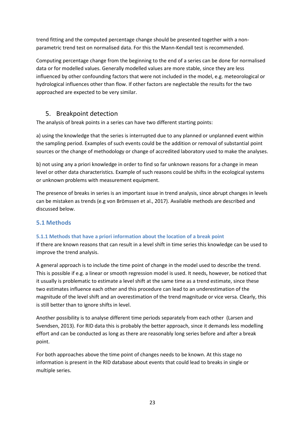trend fitting and the computed percentage change should be presented together with a nonparametric trend test on normalised data. For this the Mann-Kendall test is recommended.

Computing percentage change from the beginning to the end of a series can be done for normalised data or for modelled values. Generally modelled values are more stable, since they are less influenced by other confounding factors that were not included in the model, e.g. meteorological or hydrological influences other than flow. If other factors are neglectable the results for the two approached are expected to be very similar.

# <span id="page-26-0"></span>5. Breakpoint detection

The analysis of break points in a series can have two different starting points:

a) using the knowledge that the series is interrupted due to any planned or unplanned event within the sampling period. Examples of such events could be the addition or removal of substantial point sources or the change of methodology or change of accredited laboratory used to make the analyses.

b) not using any a priori knowledge in order to find so far unknown reasons for a change in mean level or other data characteristics. Example of such reasons could be shifts in the ecological systems or unknown problems with measurement equipment.

The presence of breaks in series is an important issue in trend analysis, since abrupt changes in levels can be mistaken as trends (e.g von Brömssen et al., 2017). Available methods are described and discussed below.

## <span id="page-26-1"></span>**5.1 Methods**

## <span id="page-26-2"></span>**5.1.1 Methods that have a priori information about the location of a break point**

If there are known reasons that can result in a level shift in time series this knowledge can be used to improve the trend analysis.

A general approach is to include the time point of change in the model used to describe the trend. This is possible if e.g. a linear or smooth regression model is used. It needs, however, be noticed that it usually is problematic to estimate a level shift at the same time as a trend estimate, since these two estimates influence each other and this procedure can lead to an underestimation of the magnitude of the level shift and an overestimation of the trend magnitude or vice versa. Clearly, this is still better than to ignore shifts in level.

Another possibility is to analyse different time periods separately from each other (Larsen and Svendsen, 2013). For RID data this is probably the better approach, since it demands less modelling effort and can be conducted as long as there are reasonably long series before and after a break point.

For both approaches above the time point of changes needs to be known. At this stage no information is present in the RID database about events that could lead to breaks in single or multiple series.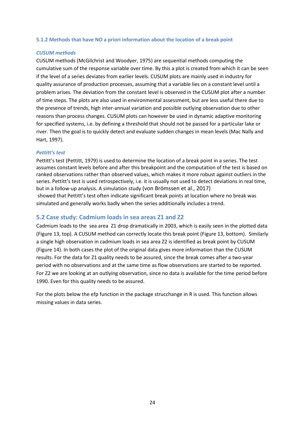#### <span id="page-27-0"></span>**5.1.2 Methods that have NO a priori information about the location of a break point**

#### *CUSUM methods*

CUSUM methods (McGilchrist and Woodyer, 1975) are sequential methods computing the cumulative sum of the response variable over time. By this a plot is created from which it can be seen if the level of a series deviates from earlier levels. CUSUM plots are mainly used in industry for quality assurance of production processes, assuming that a variable lies on a constant level until a problem arises. The deviation from the constant level is observed in the CUSUM plot after a number of time steps. The plots are also used in environmental assessment, but are less useful there due to the presence of trends, high inter-annual variation and possible outlying observation due to other reasons than process changes. CUSUM plots can however be used in dynamic adaptive monitoring for specified systems, i.e. by defining a threshold that should not be passed for a particular lake or river. Then the goal is to quickly detect and evaluate sudden changes in mean levels (Mac Nally and Hart, 1997).

#### *Pettitt's test*

Pettitt's test (Pettitt, 1979) is used to determine the location of a break point in a series. The test assumes constant levels before and after this breakpoint and the computation of the test is based on ranked observations rather than observed values, which makes it more robust against outliers in the series. Pettitt's test is used retrospectively, i.e. it is usually not used to detect deviations in real time, but in a follow-up analysis. A simulation study (von Brömssen et al., 2017) showed that Pettitt's test often indicate significant break points at location where no break was simulated and generally works badly when the series additionally includes a trend.

#### <span id="page-27-1"></span>**5.2 Case study: Cadmium loads in sea areas Z1 and Z2**

Cadmium loads to the sea area Z1 drop dramatically in 2003, which is easily seen in the plotted data (Figure 13, top). A CUSUM method can correctly locate this break point (Figure 13, bottom). Similarly a single high observation in cadmium loads in sea area Z2 is identified as break point by CUSUM (Figure 14). In both cases the plot of the original data gives more information than the CUSUM results. For the data for Z1 quality needs to be assured, since the break comes after a two-year period with no observations and at the same time as flow observations are started to be reported. For Z2 we are looking at an outlying observation, since no data is available for the time period before 1990. Even for this quality needs to be assured.

For the plots below the efp function in the package strucchange in R is used. This function allows missing values in data series.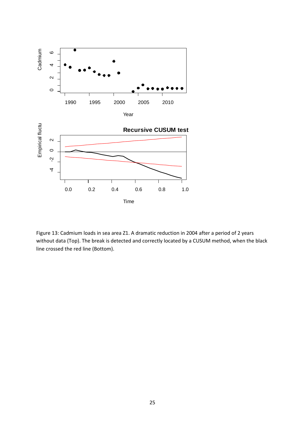

Figure 13: Cadmium loads in sea area Z1. A dramatic reduction in 2004 after a period of 2 years without data (Top). The break is detected and correctly located by a CUSUM method, when the black line crossed the red line (Bottom).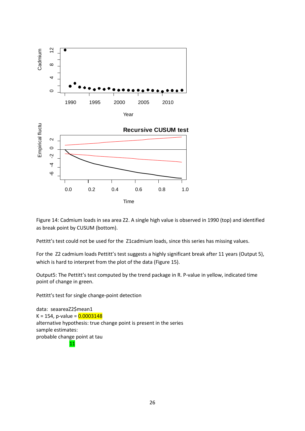



Figure 14: Cadmium loads in sea area Z2. A single high value is observed in 1990 (top) and identified as break point by CUSUM (bottom).

Pettitt's test could not be used for the Z1cadmium loads, since this series has missing values.

For the Z2 cadmium loads Pettitt's test suggests a highly significant break after 11 years (Output 5), which is hard to interpret from the plot of the data (Figure 15).

Output5: The Pettitt's test computed by the trend package in R. P-value in yellow, indicated time point of change in green.

Pettitt's test for single change-point detection

data: seaareaZ2\$mean1 K = 154, p-value =  $0.0003148$ alternative hypothesis: true change point is present in the series sample estimates: probable change point at tau 11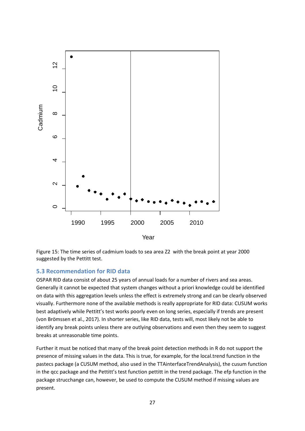

Figure 15: The time series of cadmium loads to sea area Z2 with the break point at year 2000 suggested by the Pettitt test.

## <span id="page-30-0"></span>**5.3 Recommendation for RID data**

OSPAR RID data consist of about 25 years of annual loads for a number of rivers and sea areas. Generally it cannot be expected that system changes without a priori knowledge could be identified on data with this aggregation levels unless the effect is extremely strong and can be clearly observed visually. Furthermore none of the available methods is really appropriate for RID data: CUSUM works best adaptively while Pettitt's test works poorly even on long series, especially if trends are present (von Brömssen et al., 2017). In shorter series, like RID data, tests will, most likely not be able to identify any break points unless there are outlying observations and even then they seem to suggest breaks at unreasonable time points.

Further it must be noticed that many of the break point detection methods in R do not support the presence of missing values in the data. This is true, for example, for the local.trend function in the pastecs package (a CUSUM method, also used in the TTAinterfaceTrendAnalysis), the cusum function in the qcc package and the Pettitt's test function pettitt in the trend package. The efp function in the package strucchange can, however, be used to compute the CUSUM method if missing values are present.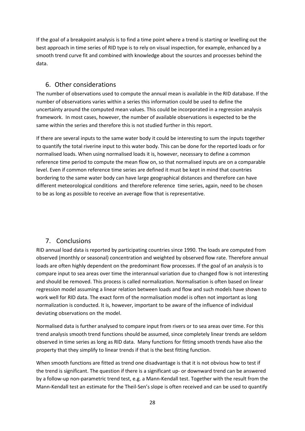If the goal of a breakpoint analysis is to find a time point where a trend is starting or levelling out the best approach in time series of RID type is to rely on visual inspection, for example, enhanced by a smooth trend curve fit and combined with knowledge about the sources and processes behind the data.

# <span id="page-31-0"></span>6. Other considerations

The number of observations used to compute the annual mean is available in the RID database. If the number of observations varies within a series this information could be used to define the uncertainty around the computed mean values. This could be incorporated in a regression analysis framework. In most cases, however, the number of available observations is expected to be the same within the series and therefore this is not studied further in this report.

If there are several inputs to the same water body it could be interesting to sum the inputs together to quantify the total riverine input to this water body. This can be done for the reported loads or for normalised loads. When using normalised loads it is, however, necessary to define a common reference time period to compute the mean flow on, so that normalised inputs are on a comparable level. Even if common reference time series are defined it must be kept in mind that countries bordering to the same water body can have large geographical distances and therefore can have different meteorological conditions and therefore reference time series, again, need to be chosen to be as long as possible to receive an average flow that is representative.

# <span id="page-31-1"></span>7. Conclusions

RID annual load data is reported by participating countries since 1990. The loads are computed from observed (monthly or seasonal) concentration and weighted by observed flow rate. Therefore annual loads are often highly dependent on the predominant flow processes. If the goal of an analysis is to compare input to sea areas over time the interannual variation due to changed flow is not interesting and should be removed. This process is called normalization. Normalisation is often based on linear regression model assuming a linear relation between loads and flow and such models have shown to work well for RID data. The exact form of the normalisation model is often not important as long normalization is conducted. It is, however, important to be aware of the influence of individual deviating observations on the model.

Normalised data is further analysed to compare input from rivers or to sea areas over time. For this trend analysis smooth trend functions should be assumed, since completely linear trends are seldom observed in time series as long as RID data. Many functions for fitting smooth trends have also the property that they simplify to linear trends if that is the best fitting function.

When smooth functions are fitted as trend one disadvantage is that it is not obvious how to test if the trend is significant. The question if there is a significant up- or downward trend can be answered by a follow-up non-parametric trend test, e.g. a Mann-Kendall test. Together with the result from the Mann-Kendall test an estimate for the Theil-Sen's slope is often received and can be used to quantify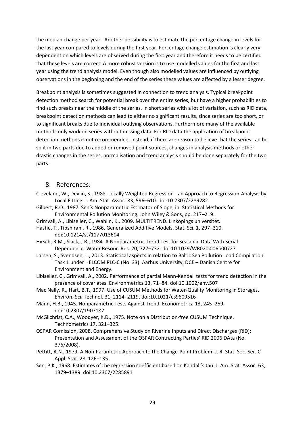the median change per year. Another possibility is to estimate the percentage change in levels for the last year compared to levels during the first year. Percentage change estimation is clearly very dependent on which levels are observed during the first year and therefore it needs to be certified that these levels are correct. A more robust version is to use modelled values for the first and last year using the trend analysis model. Even though also modelled values are influenced by outlying observations in the beginning and the end of the series these values are affected by a lesser degree.

Breakpoint analysis is sometimes suggested in connection to trend analysis. Typical breakpoint detection method search for potential break over the entire series, but have a higher probabilities to find such breaks near the middle of the series. In short series with a lot of variation, such as RID data, breakpoint detection methods can lead to either no significant results, since series are too short, or to significant breaks due to individual outlying observations. Furthermore many of the available methods only work on series without missing data. For RID data the application of breakpoint detection methods is not recommended. Instead, if there are reason to believe that the series can be split in two parts due to added or removed point sources, changes in analysis methods or other drastic changes in the series, normalisation and trend analysis should be done separately for the two parts.

## <span id="page-32-0"></span>8. References:

- Cleveland, W., Devlin, S., 1988. Locally Weighted Regression an Approach to Regression-Analysis by Local Fitting. J. Am. Stat. Assoc. 83, 596–610. doi:10.2307/2289282
- Gilbert, R.O., 1987. Sen's Nonparametric Estimator of Slope, in: Statistical Methods for Environmental Pollution Monitoring. John Wiley & Sons, pp. 217–219.
- Grimvall, A., Libiseller, C., Wahlin, K., 2009. MULTITREND. Linköpings universitet.
- Hastie, T., Tibshirani, R., 1986. Generalized Additive Models. Stat. Sci. 1, 297–310. doi:10.1214/ss/1177013604
- Hirsch, R.M., Slack, J.R., 1984. A Nonparametric Trend Test for Seasonal Data With Serial Dependence. Water Resour. Res. 20, 727–732. doi:10.1029/WR020i006p00727
- Larsen, S., Svendsen, L., 2013. Statistical aspects in relation to Baltic Sea Pollution Load Compilation. Task 1 under HELCOM PLC-6 (No. 33). Aarhus University, DCE – Danish Centre for Environment and Energy.
- Libiseller, C., Grimvall, A., 2002. Performance of partial Mann-Kendall tests for trend detection in the presence of covariates. Environmetrics 13, 71–84. doi:10.1002/env.507
- Mac Nally, R., Hart, B.T., 1997. Use of CUSUM Methods for Water-Quality Monitoring in Storages. Environ. Sci. Technol. 31, 2114–2119. doi:10.1021/es9609516
- Mann, H.B., 1945. Nonparametric Tests Against Trend. Econometrica 13, 245–259. doi:10.2307/1907187
- McGilchrist, C.A., Woodyer, K.D., 1975. Note on a Distribution-free CUSUM Technique. Technometrics 17, 321–325.
- OSPAR Comission, 2008. Comprehensive Study on Riverine Inputs and Direct Discharges (RID): Presentation and Assessment of the OSPAR Contracting Parties' RID 2006 DAta (No. 376/2008).
- Pettitt, A.N., 1979. A Non-Parametric Approach to the Change-Point Problem. J. R. Stat. Soc. Ser. C Appl. Stat. 28, 126–135.
- Sen, P.K., 1968. Estimates of the regression coefficient based on Kandall's tau. J. Am. Stat. Assoc. 63, 1379–1389. doi:10.2307/2285891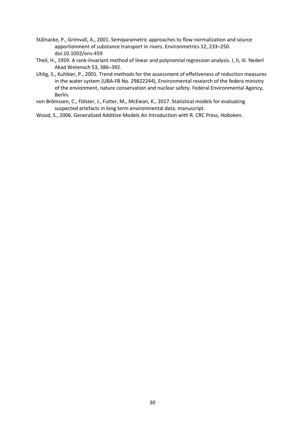- Stålnacke, P., Grimvall, A., 2001. Semiparametric approaches to flow normalization and source apportionment of substance transport in rivers. Environmetrics 12, 233–250. doi:10.1002/env.459
- Theil, H., 1959. A rank-invariant method of linear and polynomial regression analysis. I, II, III. Nederl Akad Wetensch 53, 386–392.
- Uhlig, S., Kuhbier, P., 2001. Trend methods for the assessment of effetiveness of reduction measures in the water system (UBA-FB No. 29822244), Environmental research of the federa ministry of the envionment, nature conservation and nuclear safety. Federal Environmental Agency, Berlin.
- von Brömssen, C., Fölster, J., Futter, M., McEwan, K., 2017. Statistical models for evaluating suspected artefacts in long term environmental data. manuscript.
- Wood, S., 2006. Generalized Additive Models An Introduction with R. CRC Press, Hoboken.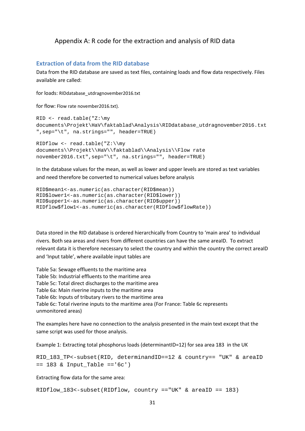## <span id="page-34-0"></span>Appendix A: R code for the extraction and analysis of RID data

#### <span id="page-34-1"></span>**Extraction of data from the RID database**

Data from the RID database are saved as text files, containing loads and flow data respectively. Files available are called:

for loads: RIDdatabase\_utdragnovember2016.txt

for flow: Flow rate november2016.txt).

```
RID <- read.table("Z:\my 
documents\Projekt\HaV\faktablad\Analysis\RIDdatabase_utdragnovember2016.txt
",sep="\t", na.strings="", header=TRUE)
```

```
RIDflow <- read.table("Z:\\my 
documents\\Projekt\\HaV\\faktablad\\Analysis\\Flow rate 
november2016.txt",sep="\t", na.strings="", header=TRUE)
```
In the database values for the mean, as well as lower and upper levels are stored as text variables and need therefore be converted to numerical values before analysis

```
RID$mean1<-as.numeric(as.character(RID$mean))
RID$lower1<-as.numeric(as.character(RID$lower))
RID$upper1<-as.numeric(as.character(RID$upper))
RIDflow$flow1<-as.numeric(as.character(RIDflow$flowRate))
```
Data stored in the RID database is ordered hierarchically from Country to 'main area' to individual rivers. Both sea areas and rivers from different countries can have the same areaID. To extract relevant data it is therefore necessary to select the country and within the country the correct areaID and 'Input table', where available input tables are

Table 5a: Sewage effluents to the maritime area Table 5b: Industrial effluents to the maritime area Table 5c: Total direct discharges to the maritime area Table 6a: Main riverine inputs to the maritime area Table 6b: Inputs of tributary rivers to the maritime area Table 6c: Total riverine inputs to the maritime area (For France: Table 6c represents unmonitored areas)

The examples here have no connection to the analysis presented in the main text except that the same script was used for those analysis.

Example 1: Extracting total phosphorus loads (determinantID=12) for sea area 183 in the UK

RID\_183\_TP<-subset(RID, determinandID==12 & country== "UK" & areaID == 183 & Input\_Table =='6c')

Extracting flow data for the same area:

RIDflow\_183<-subset(RIDflow, country =="UK" & areaID == 183)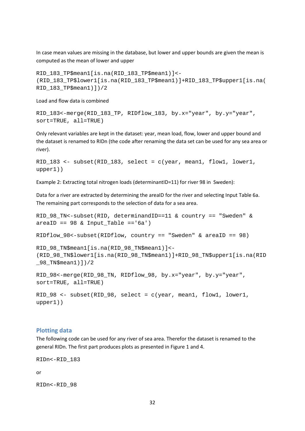In case mean values are missing in the database, but lower and upper bounds are given the mean is computed as the mean of lower and upper

```
RID_183_TP$mean1[is.na(RID_183_TP$mean1)]<-
(RID_183_TP$lower1[is.na(RID_183_TP$mean1)]+RID_183_TP$upper1[is.na(
RID_183_TP$mean1)])/2
```
Load and flow data is combined

```
RID_183<-merge(RID_183_TP, RIDflow_183, by.x="year", by.y="year", 
sort=TRUE, all=TRUE)
```
Only relevant variables are kept in the dataset: year, mean load, flow, lower and upper bound and the dataset is renamed to RIDn (the code after renaming the data set can be used for any sea area or river).

```
RID_183 <- subset(RID_183, select = c(year, mean1, flow1, lower1, 
upper1))
```
Example 2: Extracting total nitrogen loads (determinantID=11) for river 98 in Sweden):

Data for a river are extracted by determining the areaID for the river and selecting Input Table 6a. The remaining part corresponds to the selection of data for a sea area.

```
RID_98_TN<-subset(RID, determinandID==11 & country == "Sweden" & 
areaID == 98 & Input\_Table == '6a')RIDflow_98<-subset(RIDflow, country == "Sweden" & areaID == 98)
RID_98_TN$mean1[is.na(RID_98_TN$mean1)]<-
(RID_98_TN$lower1[is.na(RID_98_TN$mean1)]+RID_98_TN$upper1[is.na(RID
-98 TN$mean1)])/2
RID_98<-merge(RID_98_TN, RIDflow_98, by.x="year", by.y="year", 
sort=TRUE, all=TRUE)
RID_98 <- subset(RID_98, select = c(year, mean1, flow1, lower1, 
upper1))
```
#### <span id="page-35-0"></span>**Plotting data**

The following code can be used for any river of sea area. Therefor the dataset is renamed to the general RIDn. The first part produces plots as presented in Figure 1 and 4.

RIDn<-RID\_183

or

RIDn<-RID\_98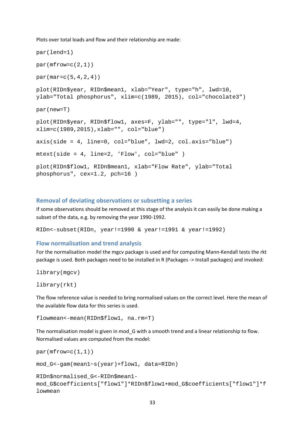Plots over total loads and flow and their relationship are made:

```
par(lend=1)
par(mfrow=c(2,1))par(max=c(5,4,2,4))plot(RIDn$year, RIDn$mean1, xlab="Year", type="h", lwd=10, 
ylab="Total phosphorus", xlim=c(1989, 2015), col="chocolate3")
par(new=T)
plot(RIDn$year, RIDn$flow1, axes=F, ylab="", type="l", lwd=4, 
xlim=c(1989,2015),xlab="", col="blue")
axis(side = 4, line=0, col="blue", lwd=2, col.axis="blue")
mtext(side = 4, line=2, 'Flow', col="blue" )
plot(RIDn$flow1, RIDn$mean1, xlab="Flow Rate", ylab="Total 
phosphorus", cex=1.2, pch=16 )
```
#### <span id="page-36-0"></span>**Removal of deviating observations or subsetting a series**

If some observations should be removed at this stage of the analysis it can easily be done making a subset of the data, e.g. by removing the year 1990-1992.

RIDn<-subset(RIDn, year!=1990 & year!=1991 & year!=1992)

#### <span id="page-36-1"></span>**Flow normalisation and trend analysis**

For the normalisation model the mgcv package is used and for computing Mann-Kendall tests the rkt package is used. Both packages need to be installed in R (Packages -> Install packages) and invoked:

library(mgcv)

```
library(rkt)
```
The flow reference value is needed to bring normalised values on the correct level. Here the mean of the available flow data for this series is used.

flowmean<-mean(RIDn\$flow1, na.rm=T)

The normalisation model is given in mod\_G with a smooth trend and a linear relationship to flow. Normalised values are computed from the model:

```
par(mfrow=c(1,1))mod_G<-gam(mean1~s(year)+flow1, data=RIDn)
RIDn$normalised_G<-RIDn$mean1-
mod_G$coefficients["flow1"]*RIDn$flow1+mod_G$coefficients["flow1"]*f
lowmean
```